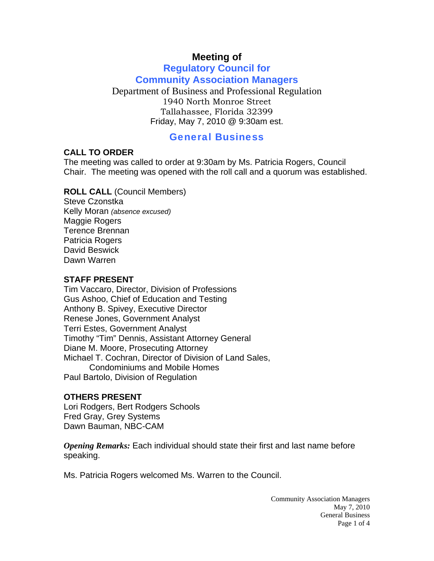# **Meeting of**

## **Regulatory Council for Community Association Managers**

Department of Business and Professional Regulation 1940 North Monroe Street Tallahassee, Florida 32399 Friday, May 7, 2010 @ 9:30am est.

## General Business

### **CALL TO ORDER**

The meeting was called to order at 9:30am by Ms. Patricia Rogers, Council Chair. The meeting was opened with the roll call and a quorum was established.

**ROLL CALL** (Council Members) Steve Czonstka Kelly Moran *(absence excused)* Maggie Rogers Terence Brennan Patricia Rogers David Beswick

### **STAFF PRESENT**

Dawn Warren

Tim Vaccaro, Director, Division of Professions Gus Ashoo, Chief of Education and Testing Anthony B. Spivey, Executive Director Renese Jones, Government Analyst Terri Estes, Government Analyst Timothy "Tim" Dennis, Assistant Attorney General Diane M. Moore, Prosecuting Attorney Michael T. Cochran, Director of Division of Land Sales, Condominiums and Mobile Homes Paul Bartolo, Division of Regulation

### **OTHERS PRESENT**

Lori Rodgers, Bert Rodgers Schools Fred Gray, Grey Systems Dawn Bauman, NBC-CAM

*Opening Remarks:* Each individual should state their first and last name before speaking.

Ms. Patricia Rogers welcomed Ms. Warren to the Council.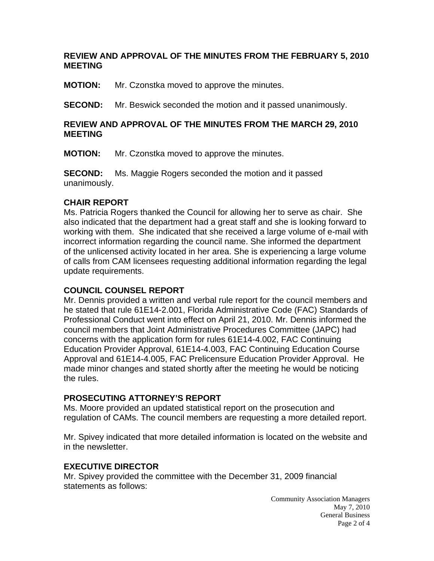### **REVIEW AND APPROVAL OF THE MINUTES FROM THE FEBRUARY 5, 2010 MEETING**

**MOTION:** Mr. Czonstka moved to approve the minutes.

**SECOND:** Mr. Beswick seconded the motion and it passed unanimously.

#### **REVIEW AND APPROVAL OF THE MINUTES FROM THE MARCH 29, 2010 MEETING**

**MOTION:** Mr. Czonstka moved to approve the minutes.

**SECOND:** Ms. Maggie Rogers seconded the motion and it passed unanimously.

### **CHAIR REPORT**

Ms. Patricia Rogers thanked the Council for allowing her to serve as chair. She also indicated that the department had a great staff and she is looking forward to working with them. She indicated that she received a large volume of e-mail with incorrect information regarding the council name. She informed the department of the unlicensed activity located in her area. She is experiencing a large volume of calls from CAM licensees requesting additional information regarding the legal update requirements.

### **COUNCIL COUNSEL REPORT**

Mr. Dennis provided a written and verbal rule report for the council members and he stated that rule 61E14-2.001, Florida Administrative Code (FAC) Standards of Professional Conduct went into effect on April 21, 2010. Mr. Dennis informed the council members that Joint Administrative Procedures Committee (JAPC) had concerns with the application form for rules 61E14-4.002, FAC Continuing Education Provider Approval, 61E14-4.003, FAC Continuing Education Course Approval and 61E14-4.005, FAC Prelicensure Education Provider Approval. He made minor changes and stated shortly after the meeting he would be noticing the rules.

### **PROSECUTING ATTORNEY'S REPORT**

Ms. Moore provided an updated statistical report on the prosecution and regulation of CAMs. The council members are requesting a more detailed report.

Mr. Spivey indicated that more detailed information is located on the website and in the newsletter.

### **EXECUTIVE DIRECTOR**

Mr. Spivey provided the committee with the December 31, 2009 financial statements as follows:

> Community Association Managers May 7, 2010 General Business Page 2 of 4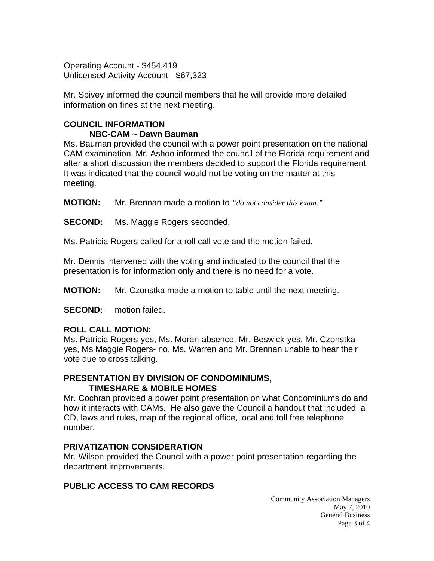Operating Account - \$454,419 Unlicensed Activity Account - \$67,323

Mr. Spivey informed the council members that he will provide more detailed information on fines at the next meeting.

## **COUNCIL INFORMATION NBC-CAM ~ Dawn Bauman**

Ms. Bauman provided the council with a power point presentation on the national CAM examination. Mr. Ashoo informed the council of the Florida requirement and after a short discussion the members decided to support the Florida requirement. It was indicated that the council would not be voting on the matter at this meeting.

**MOTION:** Mr. Brennan made a motion to *"do not consider this exam."*

**SECOND:** Ms. Maggie Rogers seconded.

Ms. Patricia Rogers called for a roll call vote and the motion failed.

Mr. Dennis intervened with the voting and indicated to the council that the presentation is for information only and there is no need for a vote.

**MOTION:** Mr. Czonstka made a motion to table until the next meeting.

**SECOND:** motion failed.

## **ROLL CALL MOTION:**

Ms. Patricia Rogers-yes, Ms. Moran-absence, Mr. Beswick-yes, Mr. Czonstkayes, Ms Maggie Rogers- no, Ms. Warren and Mr. Brennan unable to hear their vote due to cross talking.

### **PRESENTATION BY DIVISION OF CONDOMINIUMS, TIMESHARE & MOBILE HOMES**

Mr. Cochran provided a power point presentation on what Condominiums do and how it interacts with CAMs. He also gave the Council a handout that included a CD, laws and rules, map of the regional office, local and toll free telephone number.

## **PRIVATIZATION CONSIDERATION**

Mr. Wilson provided the Council with a power point presentation regarding the department improvements.

# **PUBLIC ACCESS TO CAM RECORDS**

Community Association Managers May 7, 2010 General Business Page 3 of 4